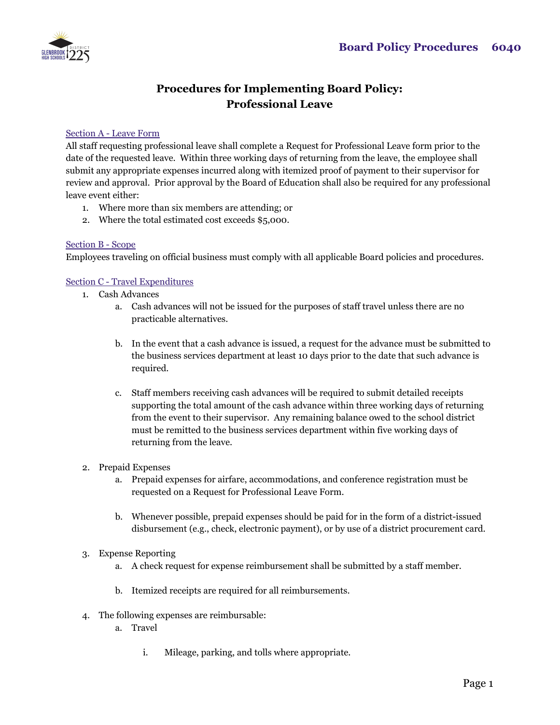

## **Procedures for Implementing Board Policy: Professional Leave**

## Section A - Leave Form

All staff requesting professional leave shall complete a Request for Professional Leave form prior to the date of the requested leave. Within three working days of returning from the leave, the employee shall submit any appropriate expenses incurred along with itemized proof of payment to their supervisor for review and approval. Prior approval by the Board of Education shall also be required for any professional leave event either:

- 1. Where more than six members are attending; or
- 2. Where the total estimated cost exceeds \$5,000.

## Section B - Scope

Employees traveling on official business must comply with all applicable Board policies and procedures.

## Section C - Travel Expenditures

- 1. Cash Advances
	- a. Cash advances will not be issued for the purposes of staff travel unless there are no practicable alternatives.
	- b. In the event that a cash advance is issued, a request for the advance must be submitted to the business services department at least 10 days prior to the date that such advance is required.
	- c. Staff members receiving cash advances will be required to submit detailed receipts supporting the total amount of the cash advance within three working days of returning from the event to their supervisor. Any remaining balance owed to the school district must be remitted to the business services department within five working days of returning from the leave.
- 2. Prepaid Expenses
	- a. Prepaid expenses for airfare, accommodations, and conference registration must be requested on a Request for Professional Leave Form.
	- b. Whenever possible, prepaid expenses should be paid for in the form of a district-issued disbursement (e.g., check, electronic payment), or by use of a district procurement card.
- 3. Expense Reporting
	- a. A check request for expense reimbursement shall be submitted by a staff member.
	- b. Itemized receipts are required for all reimbursements.
- 4. The following expenses are reimbursable:
	- a. Travel
		- i. Mileage, parking, and tolls where appropriate.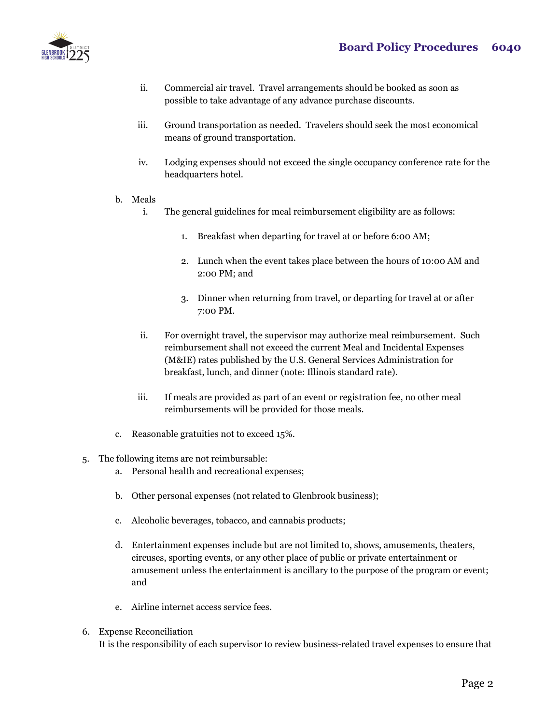

- ii. Commercial air travel. Travel arrangements should be booked as soon as possible to take advantage of any advance purchase discounts.
- iii. Ground transportation as needed. Travelers should seek the most economical means of ground transportation.
- iv. Lodging expenses should not exceed the single occupancy conference rate for the headquarters hotel.
- b. Meals
	- i. The general guidelines for meal reimbursement eligibility are as follows:
		- 1. Breakfast when departing for travel at or before 6:00 AM;
		- 2. Lunch when the event takes place between the hours of 10:00 AM and 2:00 PM; and
		- 3. Dinner when returning from travel, or departing for travel at or after 7:00 PM.
	- ii. For overnight travel, the supervisor may authorize meal reimbursement. Such reimbursement shall not exceed the current Meal and Incidental Expenses (M&IE) rates published by the U.S. General Services Administration for breakfast, lunch, and dinner (note: Illinois standard rate).
	- iii. If meals are provided as part of an event or registration fee, no other meal reimbursements will be provided for those meals.
- c. Reasonable gratuities not to exceed 15%.
- 5. The following items are not reimbursable:
	- a. Personal health and recreational expenses;
	- b. Other personal expenses (not related to Glenbrook business);
	- c. Alcoholic beverages, tobacco, and cannabis products;
	- d. Entertainment expenses include but are not limited to, shows, amusements, theaters, circuses, sporting events, or any other place of public or private entertainment or amusement unless the entertainment is ancillary to the purpose of the program or event; and
	- e. Airline internet access service fees.
- 6. Expense Reconciliation It is the responsibility of each supervisor to review business-related travel expenses to ensure that